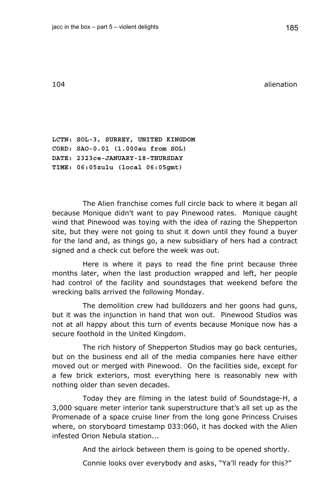104 alienation

**LCTN: SOL-3, SURREY, UNITED KINGDOM CORD: SAO-0.01 (1.000au from SOL) DATE: 2323ce-JANUARY-18-THURSDAY TIME: 06:05zulu (local 06:05gmt)** 

The Alien franchise comes full circle back to where it began all because Monique didn't want to pay Pinewood rates. Monique caught wind that Pinewood was toying with the idea of razing the Shepperton site, but they were not going to shut it down until they found a buyer for the land and, as things go, a new subsidiary of hers had a contract signed and a check cut before the week was out.

Here is where it pays to read the fine print because three months later, when the last production wrapped and left, her people had control of the facility and soundstages that weekend before the wrecking balls arrived the following Monday.

The demolition crew had bulldozers and her goons had guns, but it was the injunction in hand that won out. Pinewood Studios was not at all happy about this turn of events because Monique now has a secure foothold in the United Kingdom.

The rich history of Shepperton Studios may go back centuries, but on the business end all of the media companies here have either moved out or merged with Pinewood. On the facilities side, except for a few brick exteriors, most everything here is reasonably new with nothing older than seven decades.

Today they are filming in the latest build of Soundstage-H, a 3,000 square meter interior tank superstructure that's all set up as the Promenade of a space cruise liner from the long gone Princess Cruises where, on storyboard timestamp 033:060, it has docked with the Alien infested Orion Nebula station...

And the airlock between them is going to be opened shortly.

Connie looks over everybody and asks, "Ya'll ready for this?"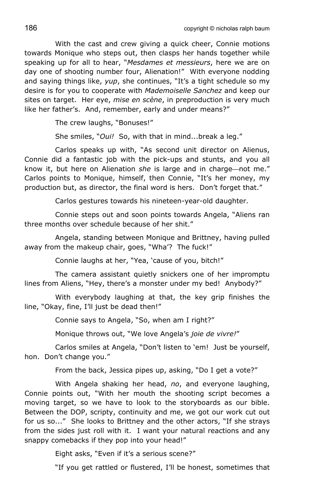With the cast and crew giving a quick cheer, Connie motions towards Monique who steps out, then clasps her hands together while speaking up for all to hear, "*Mesdames et messieurs*, here we are on day one of shooting number four, Alienation!" With everyone nodding and saying things like, *yup*, she continues, "It's a tight schedule so my desire is for you to cooperate with *Mademoiselle Sanchez* and keep our sites on target. Her eye, *mise en scène*, in preproduction is very much like her father's. And, remember, early and under means?"

The crew laughs, "Bonuses!"

She smiles, "*Oui!* So, with that in mind...break a leg."

Carlos speaks up with, "As second unit director on Alienus, Connie did a fantastic job with the pick-ups and stunts, and you all know it, but here on Alienation *she* is large and in charge—not me." Carlos points to Monique, himself, then Connie, "It's her money, my production but, as director, the final word is hers. Don't forget that."

Carlos gestures towards his nineteen-year-old daughter.

Connie steps out and soon points towards Angela, "Aliens ran three months over schedule because of her shit."

Angela, standing between Monique and Brittney, having pulled away from the makeup chair, goes, "Wha'? The fuck!"

Connie laughs at her, "Yea, 'cause of you, bitch!"

The camera assistant quietly snickers one of her impromptu lines from Aliens, "Hey, there's a monster under my bed! Anybody?"

With everybody laughing at that, the key grip finishes the line, "Okay, fine, I'll just be dead then!"

Connie says to Angela, "So, when am I right?"

Monique throws out, "We love Angela's *joie de vivre!*"

Carlos smiles at Angela, "Don't listen to 'em! Just be yourself, hon. Don't change you."

From the back, Jessica pipes up, asking, "Do I get a vote?"

With Angela shaking her head, *no*, and everyone laughing, Connie points out, "With her mouth the shooting script becomes a moving target, so we have to look to the storyboards as our bible. Between the DOP, scripty, continuity and me, we got our work cut out for us so..." She looks to Brittney and the other actors, "If she strays from the sides just roll with it. I want your natural reactions and any snappy comebacks if they pop into your head!"

Eight asks, "Even if it's a serious scene?"

"If you get rattled or flustered, I'll be honest, sometimes that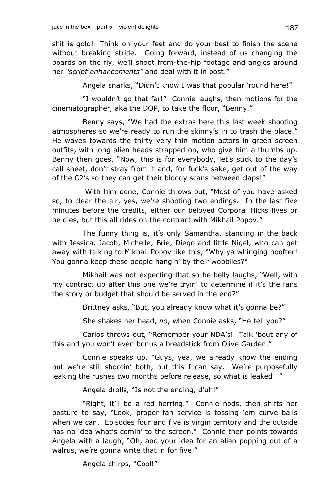shit is gold! Think on your feet and do your best to finish the scene without breaking stride. Going forward, instead of us changing the boards on the fly, we'll shoot from-the-hip footage and angles around her *"script enhancements"* and deal with it in post."

Angela snarks, "Didn't know I was that popular 'round here!"

"I wouldn't go that far!" Connie laughs, then motions for the cinematographer, aka the DOP, to take the floor, "Benny."

Benny says, "We had the extras here this last week shooting atmospheres so we're ready to run the skinny's in to trash the place." He waves towards the thirty very thin motion actors in green screen outfits, with long alien heads strapped on, who give him a thumbs up. Benny then goes, "Now, this is for everybody, let's stick to the day's call sheet, don't stray from it and, for fuck's sake, get out of the way of the C2's so they can get their bloody scans between claps!"

 With him done, Connie throws out, "Most of you have asked so, to clear the air, yes, we're shooting two endings. In the last five minutes before the credits, either our beloved Corporal Hicks lives or he dies, but this all rides on the contract with Mikhail Popov."

The funny thing is, it's only Samantha, standing in the back with Jessica, Jacob, Michelle, Brie, Diego and little Nigel, who can get away with talking to Mikhail Popov like this, "Why ya whinging poofter! You gonna keep these people hangin' by their wobblies?"

Mikhail was not expecting that so he belly laughs, "Well, with my contract up after this one we're tryin' to determine if it's the fans the story or budget that should be served in the end?"

Brittney asks, "But, you already know what it's gonna be?"

She shakes her head, *no*, when Connie asks, "He tell you?"

Carlos throws out, "Remember your NDA's! Talk 'bout any of this and you won't even bonus a breadstick from Olive Garden."

Connie speaks up, "Guys, yea, we already know the ending but we're still shootin' both, but this I can say. We're purposefully leaking the rushes two months before release, so what is leaked—"

Angela drolls, "Is not the ending, d'uh!"

"Right, it'll be a red herring." Connie nods, then shifts her posture to say, "Look, proper fan service is tossing 'em curve balls when we can. Episodes four and five is virgin territory and the outside has no idea what's comin' to the screen." Connie then points towards Angela with a laugh, "Oh, and your idea for an alien popping out of a walrus, we're gonna write that in for five!"

Angela chirps, "Cool!"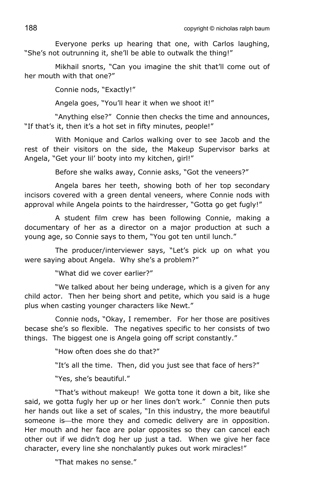Everyone perks up hearing that one, with Carlos laughing, "She's not outrunning it, she'll be able to outwalk the thing!"

Mikhail snorts, "Can you imagine the shit that'll come out of her mouth with that one?"

Connie nods, "Exactly!"

Angela goes, "You'll hear it when we shoot it!"

"Anything else?" Connie then checks the time and announces, "If that's it, then it's a hot set in fifty minutes, people!"

With Monique and Carlos walking over to see Jacob and the rest of their visitors on the side, the Makeup Supervisor barks at Angela, "Get your lil' booty into my kitchen, girl!"

Before she walks away, Connie asks, "Got the veneers?"

Angela bares her teeth, showing both of her top secondary incisors covered with a green dental veneers, where Connie nods with approval while Angela points to the hairdresser, "Gotta go get fugly!"

A student film crew has been following Connie, making a documentary of her as a director on a major production at such a young age, so Connie says to them, "You got ten until lunch."

The producer/interviewer says, "Let's pick up on what you were saying about Angela. Why she's a problem?"

"What did we cover earlier?"

"We talked about her being underage, which is a given for any child actor. Then her being short and petite, which you said is a huge plus when casting younger characters like Newt."

Connie nods, "Okay, I remember. For her those are positives becase she's so flexible. The negatives specific to her consists of two things. The biggest one is Angela going off script constantly."

"How often does she do that?"

"It's all the time. Then, did you just see that face of hers?"

"Yes, she's beautiful."

"That's without makeup! We gotta tone it down a bit, like she said, we gotta fugly her up or her lines don't work." Connie then puts her hands out like a set of scales, "In this industry, the more beautiful someone is—the more they and comedic delivery are in opposition. Her mouth and her face are polar opposites so they can cancel each other out if we didn't dog her up just a tad. When we give her face character, every line she nonchalantly pukes out work miracles!"

"That makes no sense."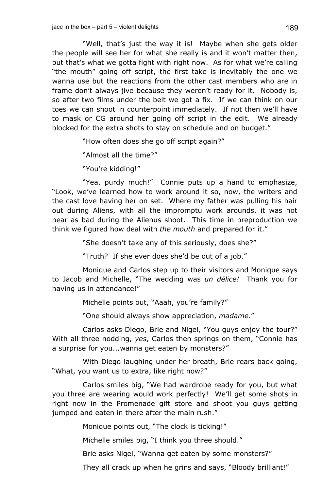"Well, that's just the way it is! Maybe when she gets older the people will see her for what she really is and it won't matter then, but that's what we gotta fight with right now. As for what we're calling "the mouth" going off script, the first take is inevitably the one we wanna use but the reactions from the other cast members who are in frame don't always jive because they weren't ready for it. Nobody is, so after two films under the belt we got a fix. If we can think on our toes we can shoot in counterpoint immediately. If not then we'll have to mask or CG around her going off script in the edit. We already blocked for the extra shots to stay on schedule and on budget."

"How often does she go off script again?"

"Almost all the time?"

"You're kidding!"

"Yea, purdy much!" Connie puts up a hand to emphasize, "Look, we've learned how to work around it so, now, the writers and the cast love having her on set. Where my father was pulling his hair out during Aliens, with all the impromptu work arounds, it was not near as bad during the Alienus shoot. This time in preproduction we think we figured how deal with *the mouth* and prepared for it."

"She doesn't take any of this seriously, does she?"

"Truth? If she ever does she'd be out of a job."

Monique and Carlos step up to their visitors and Monique says to Jacob and Michelle, "The wedding was *un délice!* Thank you for having us in attendance!"

Michelle points out, "Aaah, you're family?"

"One should always show appreciation, *madame*."

Carlos asks Diego, Brie and Nigel, "You guys enjoy the tour?" With all three nodding, *yes*, Carlos then springs on them, "Connie has a surprise for you...wanna get eaten by monsters?"

With Diego laughing under her breath, Brie rears back going, "What, you want us to extra, like right now?"

Carlos smiles big, "We had wardrobe ready for you, but what you three are wearing would work perfectly! We'll get some shots in right now in the Promenade gift store and shoot you guys getting jumped and eaten in there after the main rush."

Monique points out, "The clock is ticking!"

Michelle smiles big, "I think you three should."

Brie asks Nigel, "Wanna get eaten by some monsters?"

They all crack up when he grins and says, "Bloody brilliant!"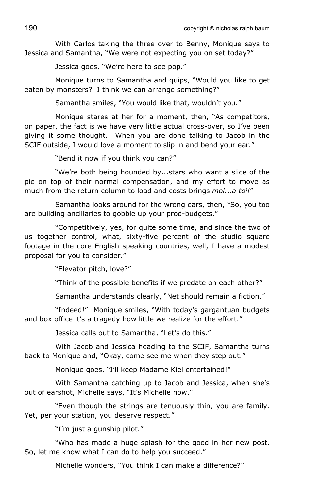With Carlos taking the three over to Benny, Monique says to Jessica and Samantha, "We were not expecting you on set today?"

Jessica goes, "We're here to see pop."

Monique turns to Samantha and quips, "Would you like to get eaten by monsters? I think we can arrange something?"

Samantha smiles, "You would like that, wouldn't you."

Monique stares at her for a moment, then, "As competitors, on paper, the fact is we have very little actual cross-over, so I've been giving it some thought. When you are done talking to Jacob in the SCIF outside, I would love a moment to slip in and bend your ear."

"Bend it now if you think you can?"

"We're both being hounded by...stars who want a slice of the pie on top of their normal compensation, and my effort to move as much from the return column to load and costs brings *moi...a toi!*"

Samantha looks around for the wrong ears, then, "So, you too are building ancillaries to gobble up your prod-budgets."

"Competitively, yes, for quite some time, and since the two of us together control, what, sixty-five percent of the studio square footage in the core English speaking countries, well, I have a modest proposal for you to consider."

"Elevator pitch, love?"

"Think of the possible benefits if we predate on each other?"

Samantha understands clearly, "Net should remain a fiction."

"Indeed!" Monique smiles, "With today's gargantuan budgets and box office it's a tragedy how little we realize for the effort."

Jessica calls out to Samantha, "Let's do this."

With Jacob and Jessica heading to the SCIF, Samantha turns back to Monique and, "Okay, come see me when they step out."

Monique goes, "I'll keep Madame Kiel entertained!"

With Samantha catching up to Jacob and Jessica, when she's out of earshot, Michelle says, "It's Michelle now."

"Even though the strings are tenuously thin, you are family. Yet, per your station, you deserve respect."

"I'm just a gunship pilot."

"Who has made a huge splash for the good in her new post. So, let me know what I can do to help you succeed."

Michelle wonders, "You think I can make a difference?"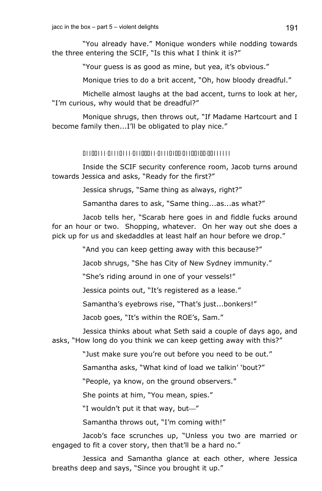"You already have." Monique wonders while nodding towards the three entering the SCIF, "Is this what I think it is?"

"Your guess is as good as mine, but yea, it's obvious."

Monique tries to do a brit accent, "Oh, how bloody dreadful."

Michelle almost laughs at the bad accent, turns to look at her, "I'm curious, why would that be dreadful?"

Monique shrugs, then throws out, "If Madame Hartcourt and I become family then...I'll be obligated to play nice."

## 01100111-01110111-01100011-01110100-01100100-00111111

Inside the SCIF security conference room, Jacob turns around towards Jessica and asks, "Ready for the first?"

Jessica shrugs, "Same thing as always, right?"

Samantha dares to ask, "Same thing...as...as what?"

Jacob tells her, "Scarab here goes in and fiddle fucks around for an hour or two. Shopping, whatever. On her way out she does a pick up for us and skedaddles at least half an hour before we drop."

"And you can keep getting away with this because?"

Jacob shrugs, "She has City of New Sydney immunity."

"She's riding around in one of your vessels!"

Jessica points out, "It's registered as a lease."

Samantha's eyebrows rise, "That's just...bonkers!"

Jacob goes, "It's within the ROE's, Sam."

Jessica thinks about what Seth said a couple of days ago, and asks, "How long do you think we can keep getting away with this?"

"Just make sure you're out before you need to be out."

Samantha asks, "What kind of load we talkin' 'bout?"

"People, ya know, on the ground observers."

She points at him, "You mean, spies."

"I wouldn't put it that way, but-"

Samantha throws out, "I'm coming with!"

Jacob's face scrunches up, "Unless you two are married or engaged to fit a cover story, then that'll be a hard no."

Jessica and Samantha glance at each other, where Jessica breaths deep and says, "Since you brought it up."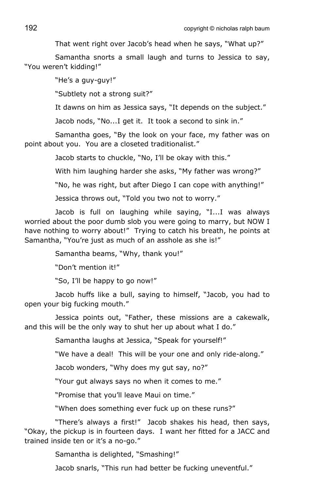That went right over Jacob's head when he says, "What up?"

Samantha snorts a small laugh and turns to Jessica to say, "You weren't kidding!"

"He's a guy-guy!"

"Subtlety not a strong suit?"

It dawns on him as Jessica says, "It depends on the subject."

Jacob nods, "No...I get it. It took a second to sink in."

Samantha goes, "By the look on your face, my father was on point about you. You are a closeted traditionalist."

Jacob starts to chuckle, "No, I'll be okay with this."

With him laughing harder she asks, "My father was wrong?"

"No, he was right, but after Diego I can cope with anything!"

Jessica throws out, "Told you two not to worry."

Jacob is full on laughing while saying, "I...I was always worried about the poor dumb slob you were going to marry, but NOW I have nothing to worry about!" Trying to catch his breath, he points at Samantha, "You're just as much of an asshole as she is!"

Samantha beams, "Why, thank you!"

"Don't mention it!"

"So, I'll be happy to go now!"

Jacob huffs like a bull, saying to himself, "Jacob, you had to open your big fucking mouth."

Jessica points out, "Father, these missions are a cakewalk, and this will be the only way to shut her up about what I do."

Samantha laughs at Jessica, "Speak for yourself!"

"We have a deal! This will be your one and only ride-along."

Jacob wonders, "Why does my gut say, no?"

"Your gut always says no when it comes to me."

"Promise that you'll leave Maui on time."

"When does something ever fuck up on these runs?"

"There's always a first!" Jacob shakes his head, then says, "Okay, the pickup is in fourteen days. I want her fitted for a JACC and trained inside ten or it's a no-go."

Samantha is delighted, "Smashing!"

Jacob snarls, "This run had better be fucking uneventful."